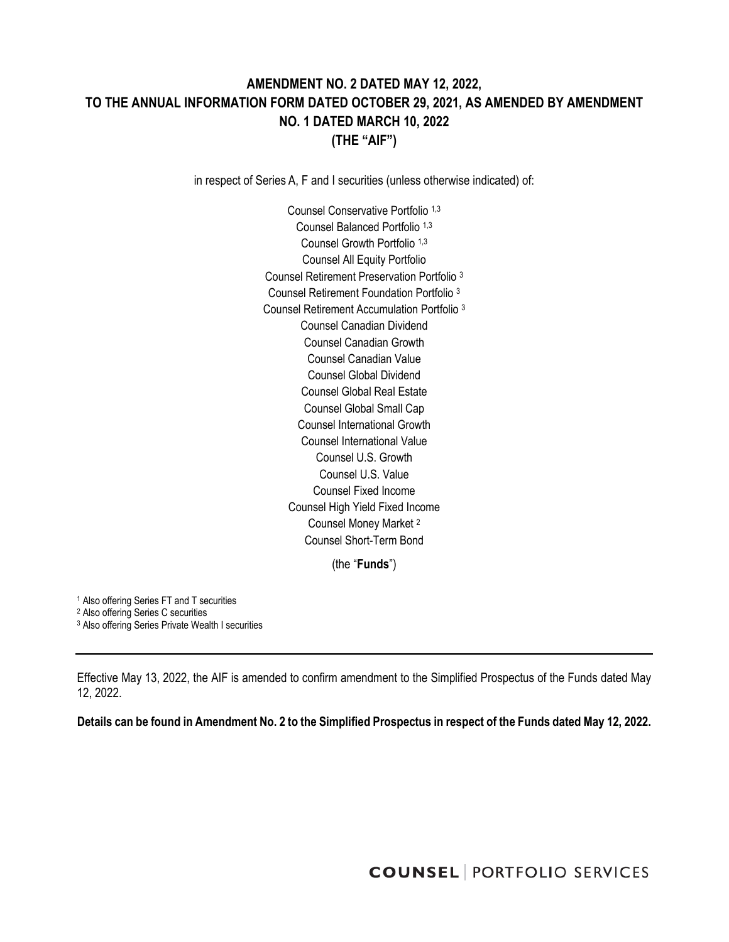# **AMENDMENT NO. 2 DATED MAY 12, 2022, TO THE ANNUAL INFORMATION FORM DATED OCTOBER 29, 2021, AS AMENDED BY AMENDMENT NO. 1 DATED MARCH 10, 2022 (THE "AIF")**

in respect of Series A, F and I securities (unless otherwise indicated) of:

Counsel Conservative Portfolio 1,3 Counsel Balanced Portfolio 1,3 Counsel Growth Portfolio 1,3 Counsel All Equity Portfolio Counsel Retirement Preservation Portfolio <sup>3</sup> Counsel Retirement Foundation Portfolio <sup>3</sup> Counsel Retirement Accumulation Portfolio <sup>3</sup> Counsel Canadian Dividend Counsel Canadian Growth Counsel Canadian Value Counsel Global Dividend Counsel Global Real Estate Counsel Global Small Cap Counsel International Growth Counsel International Value Counsel U.S. Growth Counsel U.S. Value Counsel Fixed Income Counsel High Yield Fixed Income Counsel Money Market <sup>2</sup> Counsel Short-Term Bond

(the "**Funds**")

<sup>1</sup> Also offering Series FT and T securities

<sup>2</sup> Also offering Series C securities

<sup>3</sup> Also offering Series Private Wealth I securities

Effective May 13, 2022, the AIF is amended to confirm amendment to the Simplified Prospectus of the Funds dated May 12, 2022.

**Details can be found in Amendment No. 2 to the Simplified Prospectus in respect of the Funds dated May 12, 2022.**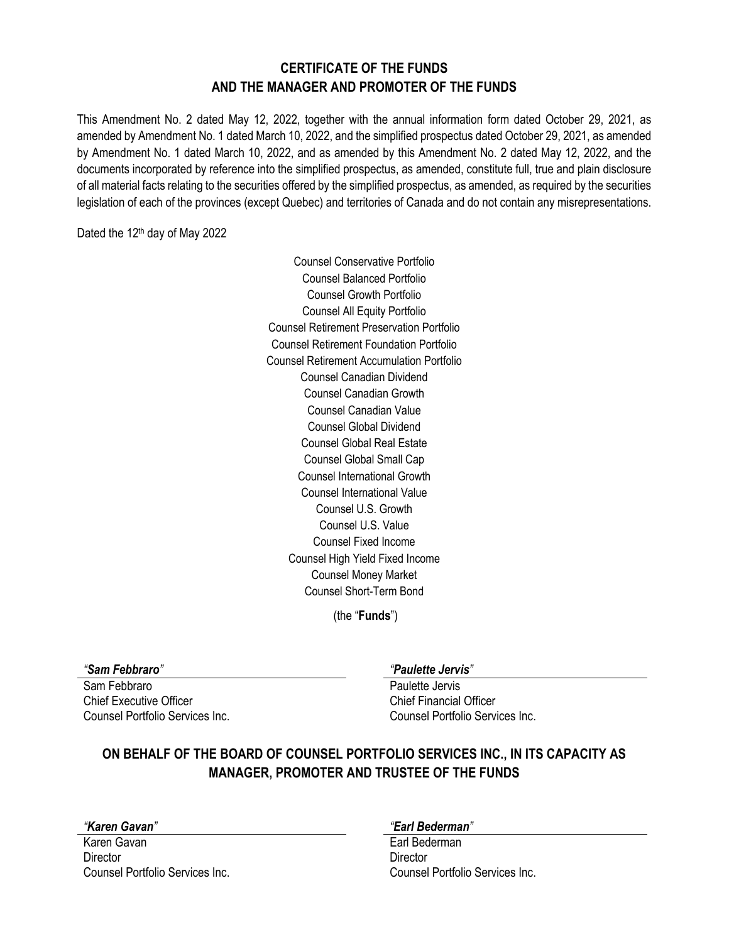## **CERTIFICATE OF THE FUNDS AND THE MANAGER AND PROMOTER OF THE FUNDS**

This Amendment No. 2 dated May 12, 2022, together with the annual information form dated October 29, 2021, as amended by Amendment No. 1 dated March 10, 2022, and the simplified prospectus dated October 29, 2021, as amended by Amendment No. 1 dated March 10, 2022, and as amended by this Amendment No. 2 dated May 12, 2022, and the documents incorporated by reference into the simplified prospectus, as amended, constitute full, true and plain disclosure of all material facts relating to the securities offered by the simplified prospectus, as amended, as required by the securities legislation of each of the provinces (except Quebec) and territories of Canada and do not contain any misrepresentations.

Dated the 12<sup>th</sup> day of May 2022

Counsel Conservative Portfolio Counsel Balanced Portfolio Counsel Growth Portfolio Counsel All Equity Portfolio Counsel Retirement Preservation Portfolio Counsel Retirement Foundation Portfolio Counsel Retirement Accumulation Portfolio Counsel Canadian Dividend Counsel Canadian Growth Counsel Canadian Value Counsel Global Dividend Counsel Global Real Estate Counsel Global Small Cap Counsel International Growth Counsel International Value Counsel U.S. Growth Counsel U.S. Value Counsel Fixed Income Counsel High Yield Fixed Income Counsel Money Market Counsel Short-Term Bond

(the "**Funds**")

Sam Febbraro Paulette Jervis Chief Executive Officer Chief Financial Officer Counsel Portfolio Services Inc. Counsel Portfolio Services Inc.

### *"Sam Febbraro" "Paulette Jervis"*

# **ON BEHALF OF THE BOARD OF COUNSEL PORTFOLIO SERVICES INC., IN ITS CAPACITY AS MANAGER, PROMOTER AND TRUSTEE OF THE FUNDS**

Karen Gavan **Earl Bederman** Director Director

### *"Karen Gavan" "Earl Bederman"*

Counsel Portfolio Services Inc. Counsel Portfolio Services Inc.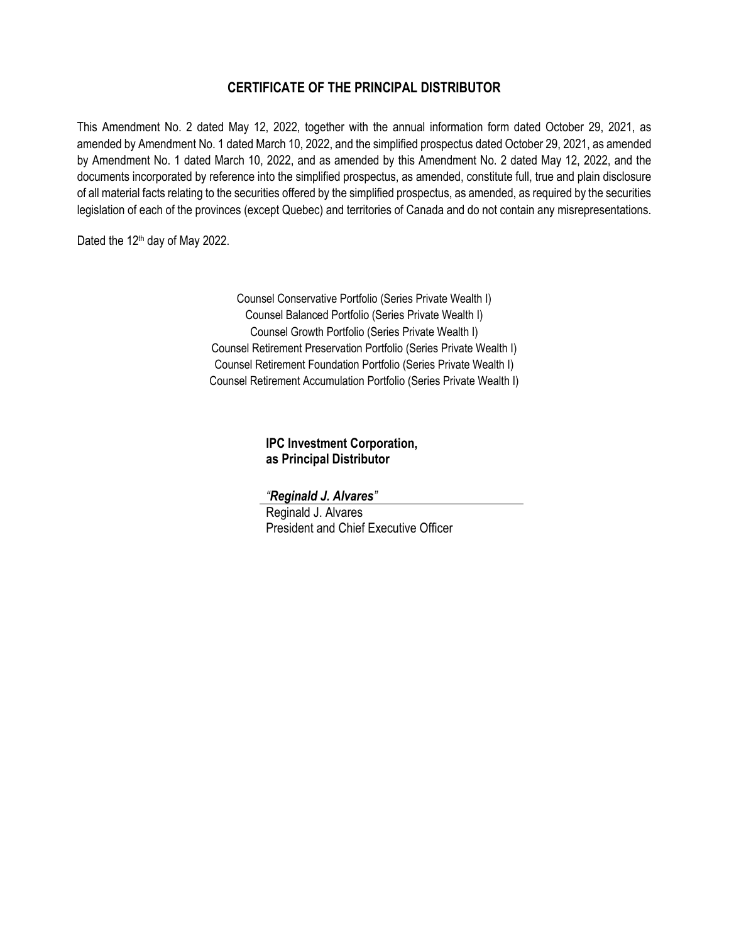## **CERTIFICATE OF THE PRINCIPAL DISTRIBUTOR**

This Amendment No. 2 dated May 12, 2022, together with the annual information form dated October 29, 2021, as amended by Amendment No. 1 dated March 10, 2022, and the simplified prospectus dated October 29, 2021, as amended by Amendment No. 1 dated March 10, 2022, and as amended by this Amendment No. 2 dated May 12, 2022, and the documents incorporated by reference into the simplified prospectus, as amended, constitute full, true and plain disclosure of all material facts relating to the securities offered by the simplified prospectus, as amended, as required by the securities legislation of each of the provinces (except Quebec) and territories of Canada and do not contain any misrepresentations.

Dated the 12<sup>th</sup> day of May 2022.

Counsel Conservative Portfolio (Series Private Wealth I) Counsel Balanced Portfolio (Series Private Wealth I) Counsel Growth Portfolio (Series Private Wealth I) Counsel Retirement Preservation Portfolio (Series Private Wealth I) Counsel Retirement Foundation Portfolio (Series Private Wealth I) Counsel Retirement Accumulation Portfolio (Series Private Wealth I)

> **IPC Investment Corporation, as Principal Distributor**

*"Reginald J. Alvares"*

Reginald J. Alvares President and Chief Executive Officer